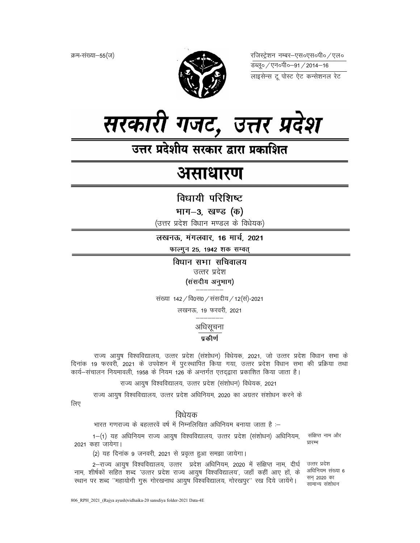क्रम-संख्या-55(ज)



रजिस्ट्रेशन नम्बर–एस०एस०पी० ⁄ एल० डब्लू० ⁄ एन०पी०-91 / 2014-16 लाइसेन्स टू पोस्ट ऐट कन्सेशनल रेट



उत्तर प्रदेशीय सरकार द्वारा प्रकाशित

# असाधारण

विधायी परिशिष्ट

भाग–3, खण्ड (क)

(उत्तर प्रदेश विधान मण्डल के विधेयक)

लखनऊ, मंगलवार, 16 मार्च, 2021

फाल्गुन 25, 1942 शक सम्वत्

विधान सभा सचिवालय उत्तर प्रदेश (संसदीय अनुभाग)

संख्या 142 / वि0स0 / संसदीय / 12(सं)-2021

लखनऊ, 19 फरवरी, 2021

अधिसूचना

# प्रकीर्ण

राज्य आयुष विश्वविद्यालय, उत्तर प्रदेश (संशोधन) विधेयक, 2021, जो उत्तर प्रदेश विधान सभा के दिनांक 19 फरवरी, 2021 के उपवेशन में पुरःस्थापित किया गया, उत्तर प्रदेश विधान सभा की प्रक्रिया तथा कार्य-संचालन नियमावली, 1958 के नियम 126 के अन्तर्गत एतदद्वारा प्रकाशित किया जाता है।

राज्य आयुष विश्वविद्यालय, उत्तर प्रदेश (संशोधन) विधेयक, 2021

राज्य आयुष विश्वविद्यालय, उत्तर प्रदेश अधिनियम, 2020 का अग्रतर संशोधन करने के

लिए

# विधेयक

भारत गणराज्य के बहत्तरवें वर्ष में निम्नलिखित अधिनियम बनाया जाता है :-

1-(1) यह अधिनियम राज्य आयुष विश्वविद्यालय, उत्तर प्रदेश (संशोधन) अधिनियम, 2021 कहा जायेगा।

संक्षिप्त नाम और प्रारम्भ

(2) यह दिनांक 9 जनवरी, 2021 से प्रवृत्त हुआ समझा जायेगा।

2-राज्य आयुष विश्वविद्यालय, उत्तर प्रदेश अधिनियम, 2020 में संक्षिप्त नाम, दीर्घ उत्तर प्रदेश नाम, शीर्षकों सहित शब्द 'उत्तर प्रदेश राज्य आयुष विश्वविद्यालय', जहाँ कहीं आए हों, के स्थान पर शब्द "महायोगी गुरू गोरखनाथ आयुष विश्वविद्यालय, गोरखपुर" रख दिये जायेंगे।

अधिनियम संख्या 6 सन 2020 का सामान्य संशोधन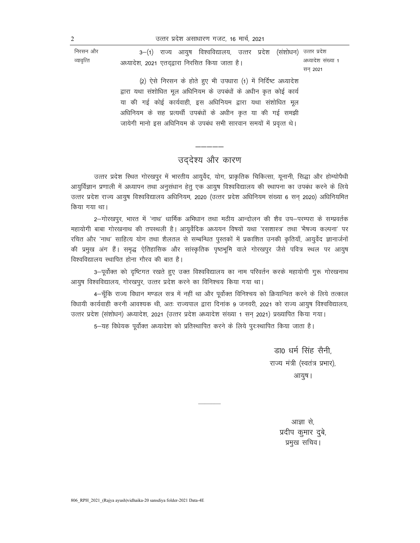उत्तर प्रदेश असाधारण गजट, 16 मार्च, 2021

निरसन और 3–(1) राज्य आयुष विश्वविद्यालय, उत्तर प्रदेश (संशोधन) उत्तर प्रदेश व्यावृत्ति अध्यादेश संख्या 1 अध्यादेश, 2021 एतदद्वारा निरसित किया जाता है। सन 2021 (2) ऐसे निरसन के होते हुए भी उपधारा (1) में निर्दिष्ट अध्यादेश द्वारा यथा संशोधित मूल अधिनियम के उपबंधों के अधीन कृत कोई कार्य या की गई कोई कार्यवाही, इस अधिनियम द्वारा यथा संशोधित मूल अधिनियम के सह प्रत्यर्थी उपबंधों के अधीन कृत या की गई समझी जायेगी मानो इस अधिनियम के उपबंध सभी सारवान समयों में प्रवृत्त थे।

# उद्देश्य और कारण

उत्तर प्रदेश स्थित गोरखपुर में भारतीय आयुर्वेद, योग, प्राकृतिक चिकित्सा, यूनानी, सिद्धा और होम्योपैथी आयुर्विज्ञान प्रणाली में अध्यापन तथा अनुसंधान हेतु एक आयुष विश्वविद्यालय की स्थापना का उपबंध करने के लिये उत्तर प्रदेश राज्य आयुष विश्वविद्यालय अधिनियम, 2020 (उत्तर प्रदेश अधिनियम संख्या 6 सन 2020) अधिनियमित किया गया था।

2-गोरखपुर, भारत में 'नाथ' धार्मिक अभिधान तथा मठीय आन्दोलन की शैव उप-परम्परा के सम्प्रवर्तक महायोगी बाबा गोरखनाथ की तपस्थली है। आयुर्वेदिक अध्ययन विषयों यथा 'रसशास्त्र' तथा 'भैषज्य कल्पना' पर रचित और 'नाथ' साहित्य योग तथा शैलतल से सम्बन्धित पुस्तकों में प्रकाशित उनकी कृतियाँ, आयुर्वेद ज्ञानार्जनों की प्रमुख अंग हैं। समृद्ध ऐतिहासिक और सांस्कृतिक पृष्ठभूमि वाले गोरखपुर जैसे पवित्र स्थल पर आयुष विश्वविद्यालय स्थापित होना गौरव की बात है।

3-पूर्वोक्त को दृष्टिगत रखते हुए उक्त विश्वविद्यालय का नाम परिवर्तन करके महायोगी गुरू गोरखनाथ आयुष विश्वविद्यालय, गोरखपुर, उत्तर प्रदेश करने का विनिश्चय किया गया था।

4-चूँकि राज्य विधान मण्डल सत्र में नहीं था और पूर्वोक्त विनिश्चय को क्रियान्वित करने के लिये तत्काल विधायी कार्यवाही करनी आवश्यक थी, अतः राज्यपाल द्वारा दिनांक 9 जनवरी, 2021 को राज्य आयुष विश्वविद्यालय, उत्तर प्रदेश (संशोधन) अध्यादेश, 2021 (उत्तर प्रदेश अध्यादेश संख्या 1 सन् 2021) प्रख्यापित किया गया।

5-यह विधेयक पूर्वोक्त अध्यादेश को प्रतिस्थापित करने के लिये पूर:स्थापित किया जाता है।

डा0 धर्म सिंह सैनी. राज्य मंत्री (स्वतंत्र प्रभार), आयुष ।

> आज्ञा से. प्रदीप कुमार दुबे, प्रमुख सचिव।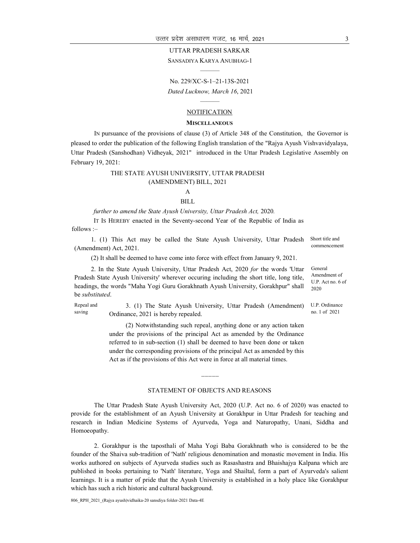#### UTTAR PRADESH SARKAR

SANSADIYA KARYA ANUBHAG-1 ———

No. 229/XC-S-1–21-13S-2021 Dated Lucknow, March 16, 2021

# ——— NOTIFICATION

#### **MISCELLANEOUS**

IN pursuance of the provisions of clause (3) of Article 348 of the Constitution, the Governor is pleased to order the publication of the following English translation of the "Rajya Ayush Vishvavidyalaya, Uttar Pradesh (Sanshodhan) Vidheyak, 2021" introduced in the Uttar Pradesh Legislative Assembly on February 19, 2021:

#### THE STATE AYUSH UNIVERSITY, UTTAR PRADESH (AMENDMENT) BILL, 2021

### A BILL

#### further to amend the State Ayush University, Uttar Pradesh Act, 2020.

IT IS HEREBY enacted in the Seventy-second Year of the Republic of India as follows :–

1. (1) This Act may be called the State Ayush University, Uttar Pradesh (Amendment) Act, 2021.

(2) It shall be deemed to have come into force with effect from January 9, 2021.

2. In the State Ayush University, Uttar Pradesh Act, 2020 for the words 'Uttar Pradesh State Ayush University' wherever occuring including the short title, long title, headings, the words "Maha Yogi Guru Gorakhnath Ayush University, Gorakhpur" shall be substituted.

Repeal and 3. (1) The State Ayush University, Uttar Pradesh (Amendment) Ordinance, 2021 is hereby repealed.

> (2) Notwithstanding such repeal, anything done or any action taken under the provisions of the principal Act as amended by the Ordinance referred to in sub-section (1) shall be deemed to have been done or taken under the corresponding provisions of the principal Act as amended by this Act as if the provisions of this Act were in force at all material times.

#### STATEMENT OF OBJECTS AND REASONS

————

The Uttar Pradesh State Ayush University Act, 2020 (U.P. Act no. 6 of 2020) was enacted to provide for the establishment of an Ayush University at Gorakhpur in Uttar Pradesh for teaching and research in Indian Medicine Systems of Ayurveda, Yoga and Naturopathy, Unani, Siddha and Homoeopathy.

2. Gorakhpur is the taposthali of Maha Yogi Baba Gorakhnath who is considered to be the founder of the Shaiva sub-tradition of 'Nath' religious denomination and monastic movement in India. His works authored on subjects of Ayurveda studies such as Rasashastra and Bhaishajya Kalpana which are published in books pertaining to 'Nath' literature, Yoga and Shailtal, form a part of Ayurveda's salient learnings. It is a matter of pride that the Ayush University is established in a holy place like Gorakhpur which has such a rich historic and cultural background.

806\_RPH\_2021\_(Rajya ayush)vidhaika-20 sansdiya folder-2021 Data-4E

saving

Short title and commencement

General Amendment of U.P. Act no. 6 of 2020

U.P. Ordinance no. 1 of 2021